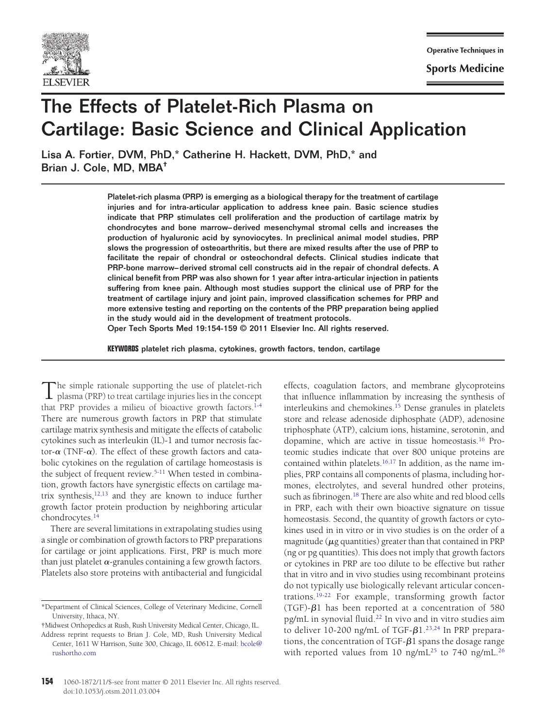

**Sports Medicine** 

# The Effects of Platelet-Rich Plasma on Cartilage: Basic Science and Clinical Application

Lisa A. Fortier, DVM, PhD,\* Catherine H. Hackett, DVM, PhD,\* and Brian J. Cole, MD, MBA†

> Platelet-rich plasma (PRP) is emerging as a biological therapy for the treatment of cartilage injuries and for intra-articular application to address knee pain. Basic science studies indicate that PRP stimulates cell proliferation and the production of cartilage matrix by chondrocytes and bone marrow–derived mesenchymal stromal cells and increases the production of hyaluronic acid by synoviocytes. In preclinical animal model studies, PRP slows the progression of osteoarthritis, but there are mixed results after the use of PRP to facilitate the repair of chondral or osteochondral defects. Clinical studies indicate that PRP-bone marrow–derived stromal cell constructs aid in the repair of chondral defects. A clinical benefit from PRP was also shown for 1 year after intra-articular injection in patients suffering from knee pain. Although most studies support the clinical use of PRP for the treatment of cartilage injury and joint pain, improved classification schemes for PRP and more extensive testing and reporting on the contents of the PRP preparation being applied in the study would aid in the development of treatment protocols.

Oper Tech Sports Med 19:154-159 © 2011 Elsevier Inc. All rights reserved.

**KEYWORDS** platelet rich plasma, cytokines, growth factors, tendon, cartilage

The simple rationale supporting the use of platelet-rich<br>plasma (PRP) to treat cartilage injuries lies in the concept<br>plate in the concept that PRP provides a milieu of bioactive growth factors[.1-4](#page-4-0) There are numerous growth factors in PRP that stimulate cartilage matrix synthesis and mitigate the effects of catabolic cytokines such as interleukin (IL)-1 and tumor necrosis factor- $\alpha$  (TNF- $\alpha$ ). The effect of these growth factors and catabolic cytokines on the regulation of cartilage homeostasis is the subject of frequent review[.5-11](#page-4-1) When tested in combination, growth factors have synergistic effects on cartilage matrix synthesis[,12,13](#page-4-2) and they are known to induce further growth factor protein production by neighboring articular chondrocytes[.14](#page-4-3)

There are several limitations in extrapolating studies using a single or combination of growth factors to PRP preparations for cartilage or joint applications. First, PRP is much more than just platelet  $\alpha$ -granules containing a few growth factors. Platelets also store proteins with antibacterial and fungicidal

effects, coagulation factors, and membrane glycoproteins that influence inflammation by increasing the synthesis of interleukins and chemokines[.15](#page-4-4) Dense granules in platelets store and release adenoside diphosphate (ADP), adenosine triphosphate (ATP), calcium ions, histamine, serotonin, and dopamine, which are active in tissue homeostasis[.16](#page-4-5) Proteomic studies indicate that over 800 unique proteins are contained within platelets.<sup>16,17</sup> In addition, as the name implies, PRP contains all components of plasma, including hormones, electrolytes, and several hundred other proteins, such as fibrinogen.<sup>18</sup> There are also white and red blood cells in PRP, each with their own bioactive signature on tissue homeostasis. Second, the quantity of growth factors or cytokines used in in vitro or in vivo studies is on the order of a magnitude ( $\mu$ g quantities) greater than that contained in PRP (ng or pg quantities). This does not imply that growth factors or cytokines in PRP are too dilute to be effective but rather that in vitro and in vivo studies using recombinant proteins do not typically use biologically relevant articular concentrations[.19-22](#page-4-7) For example, transforming growth factor (TGF)- $\beta$ 1 has been reported at a concentration of 580 pg/mL in synovial fluid[.22](#page-4-8) In vivo and in vitro studies aim to deliver 10-200 ng/mL of TGF- $\beta$ 1.<sup>23,24</sup> In PRP preparations, the concentration of TGF- $\beta$ 1 spans the dosage range with reported values from 10 ng/mL<sup>25</sup> to 740 ng/mL<sup>26</sup>

<sup>\*</sup>Department of Clinical Sciences, College of Veterinary Medicine, Cornell University, Ithaca, NY.

<sup>†</sup>Midwest Orthopedics at Rush, Rush University Medical Center, Chicago, IL.

Address reprint requests to Brian J. Cole, MD, Rush University Medical Center, 1611 W Harrison, Suite 300, Chicago, IL 60612. E-mail: [bcole@](mailto:bcole@rushortho.com) [rushortho.com](mailto:bcole@rushortho.com)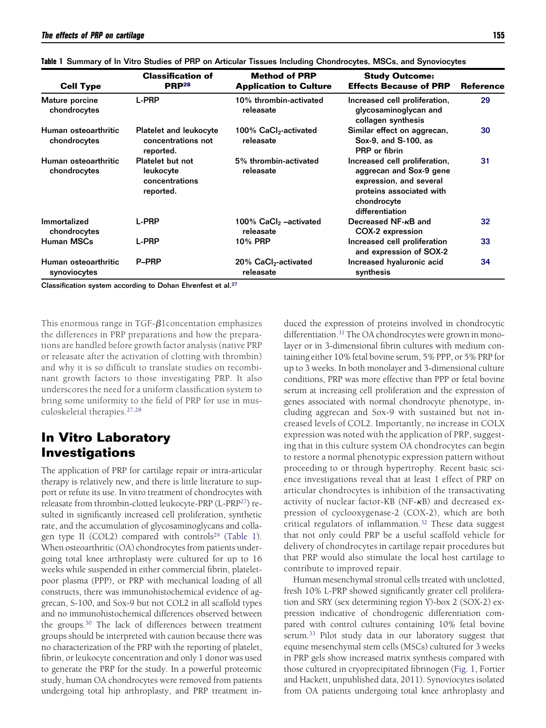| <b>Cell Type</b>                     | <b>Classification of</b><br>PRP <sup>28</sup>                       | <b>Method of PRP</b><br><b>Application to Culture</b> | <b>Study Outcome:</b><br><b>Effects Because of PRP</b>                                                                                            | <b>Reference</b> |
|--------------------------------------|---------------------------------------------------------------------|-------------------------------------------------------|---------------------------------------------------------------------------------------------------------------------------------------------------|------------------|
|                                      |                                                                     |                                                       |                                                                                                                                                   |                  |
| Human osteoarthritic<br>chondrocytes | <b>Platelet and leukocyte</b><br>concentrations not<br>reported.    | 100% CaCl <sub>2</sub> -activated<br>releasate        | Similar effect on aggrecan,<br>Sox-9, and S-100, as<br><b>PRP</b> or fibrin                                                                       | 30               |
| Human osteoarthritic<br>chondrocytes | <b>Platelet but not</b><br>leukocyte<br>concentrations<br>reported. | 5% thrombin-activated<br>releasate                    | Increased cell proliferation,<br>aggrecan and Sox-9 gene<br>expression, and several<br>proteins associated with<br>chondrocyte<br>differentiation | 31               |
| Immortalized<br>chondrocytes         | <b>L-PRP</b>                                                        | 100% $CaCl2$ –activated<br>releasate                  | Decreased NF- $\kappa$ B and<br>COX-2 expression                                                                                                  | 32               |
| Human MSCs                           | <b>L-PRP</b>                                                        | 10% PRP                                               | Increased cell proliferation<br>and expression of SOX-2                                                                                           | 33               |
| Human osteoarthritic<br>synoviocytes | P-PRP                                                               | 20% CaCl <sub>2</sub> -activated<br>releasate         | Increased hyaluronic acid<br>synthesis                                                                                                            | 34               |

<span id="page-1-0"></span>

|  | Table 1 Summary of In Vitro Studies of PRP on Articular Tissues Including Chondrocytes, MSCs, and Synoviocytes |
|--|----------------------------------------------------------------------------------------------------------------|
|--|----------------------------------------------------------------------------------------------------------------|

Classification system according to Dohan Ehrenfest et al.<sup>27</sup>

This enormous range in TGF- $\beta$ 1 concentation emphasizes the differences in PRP preparations and how the preparations are handled before growth factor analysis (native PRP or releasate after the activation of clotting with thrombin) and why it is so difficult to translate studies on recombinant growth factors to those investigating PRP. It also underscores the need for a uniform classification system to bring some uniformity to the field of PRP for use in musculoskeletal therapies[.27,28](#page-4-12)

## **In Vitro Laboratory Investigations**

The application of PRP for cartilage repair or intra-articular therapy is relatively new, and there is little literature to support or refute its use. In vitro treatment of chondrocytes with releasate from thrombin-clotted leukocyte-PRP (L-PR[P27\)](#page-4-12) resulted in significantly increased cell proliferation, synthetic rate, and the accumulation of glycosaminoglycans and colla-gen type II (COL2) compared with controls<sup>29</sup> [\(Table 1\)](#page-1-0). When osteoarthritic (OA) chondrocytes from patients undergoing total knee arthroplasty were cultured for up to 16 weeks while suspended in either commercial fibrin, plateletpoor plasma (PPP), or PRP with mechanical loading of all constructs, there was immunohistochemical evidence of aggrecan, S-100, and Sox-9 but not COL2 in all scaffold types and no immunohistochemical differences observed between the groups[.30](#page-4-14) The lack of differences between treatment groups should be interpreted with caution because there was no characterization of the PRP with the reporting of platelet, fibrin, or leukocyte concentration and only 1 donor was used to generate the PRP for the study. In a powerful proteomic study, human OA chondrocytes were removed from patients undergoing total hip arthroplasty, and PRP treatment induced the expression of proteins involved in chondrocytic differentiation[.31](#page-4-15) The OA chondrocytes were grown in monolayer or in 3-dimensional fibrin cultures with medium containing either 10% fetal bovine serum, 5% PPP, or 5% PRP for up to 3 weeks. In both monolayer and 3-dimensional culture conditions, PRP was more effective than PPP or fetal bovine serum at increasing cell proliferation and the expression of genes associated with normal chondrocyte phenotype, including aggrecan and Sox-9 with sustained but not increased levels of COL2. Importantly, no increase in COLX expression was noted with the application of PRP, suggesting that in this culture system OA chondrocytes can begin to restore a normal phenotypic expression pattern without proceeding to or through hypertrophy. Recent basic science investigations reveal that at least 1 effect of PRP on articular chondrocytes is inhibition of the transactivating activity of nuclear factor-KB ( $NF$ - $\kappa$ B) and decreased expression of cyclooxygenase-2 (COX-2), which are both critical regulators of inflammation.<sup>32</sup> These data suggest that not only could PRP be a useful scaffold vehicle for delivery of chondrocytes in cartilage repair procedures but that PRP would also stimulate the local host cartilage to contribute to improved repair.

Human mesenchymal stromal cells treated with unclotted, fresh 10% L-PRP showed significantly greater cell proliferation and SRY (sex determining region Y)-box 2 (SOX-2) expression indicative of chondrogenic differentiation compared with control cultures containing 10% fetal bovine serum.<sup>33</sup> Pilot study data in our laboratory suggest that equine mesenchymal stem cells (MSCs) cultured for 3 weeks in PRP gels show increased matrix synthesis compared with those cultured in cryoprecipitated fibrinogen [\(Fig. 1,](#page-2-0) Fortier and Hackett, unpublished data, 2011). Synoviocytes isolated from OA patients undergoing total knee arthroplasty and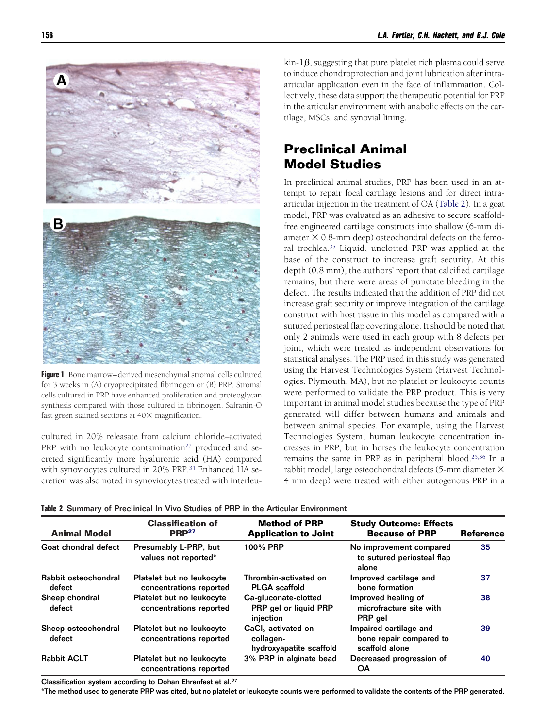

**Figure 1** Bone marrow– derived mesenchymal stromal cells cultured for 3 weeks in (A) cryoprecipitated fibrinogen or (B) PRP. Stromal cells cultured in PRP have enhanced proliferation and proteoglycan synthesis compared with those cultured in fibrinogen. Safranin-O fast green stained sections at  $40\times$  magnification.

<span id="page-2-0"></span>cultured in 20% releasate from calcium chloride–activated PRP with no leukocyte contamination<sup>27</sup> produced and secreted significantly more hyaluronic acid (HA) compared with synoviocytes cultured in 20% PRP.<sup>34</sup> Enhanced HA secretion was also noted in synoviocytes treated with interleu $\lim_{h \to 1} \beta$ , suggesting that pure platelet rich plasma could serve to induce chondroprotection and joint lubrication after intraarticular application even in the face of inflammation. Collectively, these data support the therapeutic potential for PRP in the articular environment with anabolic effects on the cartilage, MSCs, and synovial lining.

# **Preclinical Animal Model Studies**

In preclinical animal studies, PRP has been used in an attempt to repair focal cartilage lesions and for direct intraarticular injection in the treatment of OA [\(Table 2\)](#page-2-1). In a goat model, PRP was evaluated as an adhesive to secure scaffoldfree engineered cartilage constructs into shallow (6-mm diameter  $\times$  0.8-mm deep) osteochondral defects on the femoral trochlea[.35](#page-5-2) Liquid, unclotted PRP was applied at the base of the construct to increase graft security. At this depth (0.8 mm), the authors' report that calcified cartilage remains, but there were areas of punctate bleeding in the defect. The results indicated that the addition of PRP did not increase graft security or improve integration of the cartilage construct with host tissue in this model as compared with a sutured periosteal flap covering alone. It should be noted that only 2 animals were used in each group with 8 defects per joint, which were treated as independent observations for statistical analyses. The PRP used in this study was generated using the Harvest Technologies System (Harvest Technologies, Plymouth, MA), but no platelet or leukocyte counts were performed to validate the PRP product. This is very important in animal model studies because the type of PRP generated will differ between humans and animals and between animal species. For example, using the Harvest Technologies System, human leukocyte concentration increases in PRP, but in horses the leukocyte concentration remains the same in PRP as in peripheral blood[.25,36](#page-4-10) In a rabbit model, large osteochondral defects (5-mm diameter 4 mm deep) were treated with either autogenous PRP in a

| <b>Animal Model</b>            | <b>Classification of</b><br><b>PRP27</b>             | <b>Method of PRP</b><br><b>Application to Joint</b>                     | <b>Study Outcome: Effects</b><br><b>Because of PRP</b>              | <b>Reference</b> |
|--------------------------------|------------------------------------------------------|-------------------------------------------------------------------------|---------------------------------------------------------------------|------------------|
| Goat chondral defect           | Presumably L-PRP, but<br>values not reported*        | 100% PRP                                                                | No improvement compared<br>to sutured periosteal flap<br>alone      | 35               |
| Rabbit osteochondral<br>defect | Platelet but no leukocyte<br>concentrations reported | Thrombin-activated on<br><b>PLGA</b> scaffold                           | Improved cartilage and<br>bone formation                            | 37               |
| Sheep chondral<br>defect       | Platelet but no leukocyte<br>concentrations reported | Ca-gluconate-clotted<br>PRP gel or liquid PRP<br>injection              | Improved healing of<br>microfracture site with<br>PRP gel           | 38               |
| Sheep osteochondral<br>defect  | Platelet but no leukocyte<br>concentrations reported | CaCl <sub>2</sub> -activated on<br>collagen-<br>hydroxyapatite scaffold | Impaired cartilage and<br>bone repair compared to<br>scaffold alone | 39               |
| <b>Rabbit ACLT</b>             | Platelet but no leukocyte<br>concentrations reported | 3% PRP in alginate bead                                                 | Decreased progression of<br>OΑ                                      | 40               |

<span id="page-2-1"></span>**Table 2** Summary of Preclinical In Vivo Studies of PRP in the Articular Environment

Classification system according to Dohan Ehrenfest et al.<sup>27</sup>

\*The method used to generate PRP was cited, but no platelet or leukocyte counts were performed to validate the contents of the PRP generated.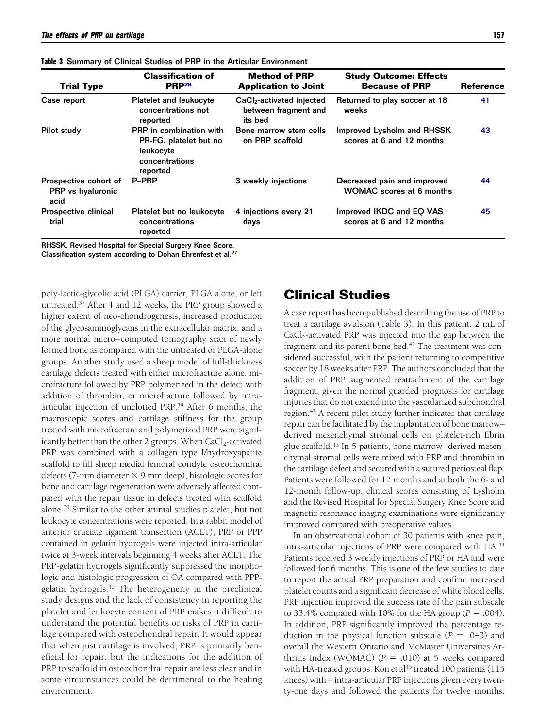| <b>Trial Type</b>                                  | <b>Classification of</b><br><b>PRP28</b>                                                     | <b>Method of PRP</b><br><b>Application to Joint</b>                      | <b>Study Outcome: Effects</b><br><b>Because of PRP</b>         | <b>Reference</b> |
|----------------------------------------------------|----------------------------------------------------------------------------------------------|--------------------------------------------------------------------------|----------------------------------------------------------------|------------------|
| Case report                                        | <b>Platelet and leukocyte</b><br>concentrations not<br>reported                              | CaCl <sub>2</sub> -activated injected<br>between fragment and<br>its bed | Returned to play soccer at 18<br>weeks                         | 41               |
| Pilot study                                        | PRP in combination with<br>PR-FG, platelet but no<br>leukocyte<br>concentrations<br>reported | Bone marrow stem cells<br>on PRP scaffold                                | Improved Lysholm and RHSSK<br>scores at 6 and 12 months        | 43               |
| Prospective cohort of<br>PRP vs hyaluronic<br>acid | <b>P-PRP</b>                                                                                 | 3 weekly injections                                                      | Decreased pain and improved<br><b>WOMAC</b> scores at 6 months | 44               |
| Prospective clinical<br>trial                      | Platelet but no leukocyte<br>concentrations<br>reported                                      | 4 injections every 21<br>days                                            | Improved IKDC and EQ VAS<br>scores at 6 and 12 months          | 45               |

<span id="page-3-0"></span>**Table 3** Summary of Clinical Studies of PRP in the Articular Environment

RHSSK, Revised Hospital for Special Surgery Knee Score.

Classification system according to Dohan Ehrenfest et al[.27](#page-4-12)

poly-lactic-glycolic acid (PLGA) carrier, PLGA alone, or left untreated[.37](#page-5-3) After 4 and 12 weeks, the PRP group showed a higher extent of neo-chondrogenesis, increased production of the glycosaminoglycans in the extracellular matrix, and a more normal micro– computed tomography scan of newly formed bone as compared with the untreated or PLGA-alone groups. Another study used a sheep model of full-thickness cartilage defects treated with either microfracture alone, microfracture followed by PRP polymerized in the defect with addition of thrombin, or microfracture followed by intraarticular injection of unclotted PRP[.38](#page-5-4) After 6 months, the macroscopic scores and cartilage stiffness for the group treated with microfracture and polymerized PRP were significantly better than the other 2 groups. When CaCl<sub>2</sub>-activated PRP was combined with a collagen type I/hydroxyapatite scaffold to fill sheep medial femoral condyle osteochondral defects (7-mm diameter  $\times$  9 mm deep), histologic scores for bone and cartilage regeneration were adversely affected compared with the repair tissue in defects treated with scaffold alone[.39](#page-5-5) Similar to the other animal studies platelet, but not leukocyte concentrations were reported. In a rabbit model of anterior cruciate ligament transection (ACLT), PRP or PPP contained in gelatin hydrogels were injected intra-articular twice at 3-week intervals beginning 4 weeks after ACLT. The PRP-gelatin hydrogels significantly suppressed the morphologic and histologic progression of OA compared with PPPgelatin hydrogels[.40](#page-5-6) The heterogeneity in the preclinical study designs and the lack of consistency in reporting the platelet and leukocyte content of PRP makes it difficult to understand the potential benefits or risks of PRP in cartilage compared with osteochondral repair. It would appear that when just cartilage is involved, PRP is primarily beneficial for repair, but the indications for the addition of PRP to scaffold in osteochondral repair are less clear and in some circumstances could be detrimental to the healing environment.

### **Clinical Studies**

A case report has been published describing the use of PRP to treat a cartilage avulsion [\(Table 3\)](#page-3-0). In this patient, 2 mL of  $CaCl<sub>2</sub>$ -activated PRP was injected into the gap between the fragment and its parent bone bed.<sup>41</sup> The treatment was considered successful, with the patient returning to competitive soccer by 18 weeks after PRP. The authors concluded that the addition of PRP augmented reattachment of the cartilage fragment, given the normal guarded prognosis for cartilage injuries that do not extend into the vascularized subchondral region[.42](#page-5-8) A recent pilot study further indicates that cartilage repair can be facilitated by the implantation of bone marrow– derived mesenchymal stromal cells on platelet-rich fibrin glue scaffold[.43](#page-5-9) In 5 patients, bone marrow– derived mesenchymal stromal cells were mixed with PRP and thrombin in the cartilage defect and secured with a sutured periosteal flap. Patients were followed for 12 months and at both the 6- and 12-month follow-up, clinical scores consisting of Lysholm and the Revised Hospital for Special Surgery Knee Score and magnetic resonance inaging examinations were significantly improved compared with preoperative values.

In an observational cohort of 30 patients with knee pain, intra-articular injections of PRP were compared with HA.<sup>44</sup> Patients received 3 weekly injections of PRP or HA and were followed for 6 months. This is one of the few studies to date to report the actual PRP preparation and confirm increased platelet counts and a significant decrease of white blood cells. PRP injection improved the success rate of the pain subscale to 33.4% compared with  $10\%$  for the HA group ( $P = .004$ ). In addition, PRP significantly improved the percentage reduction in the physical function subscale  $(P = .043)$  and overall the Western Ontario and McMaster Universities Arthritis Index (WOMAC)  $(P = .010)$  at 5 weeks compared with HA-treated groups. Kon et al<sup>45</sup> treated 100 patients (115 knees) with 4 intra-articular PRP injections given every twenty-one days and followed the patients for twelve months.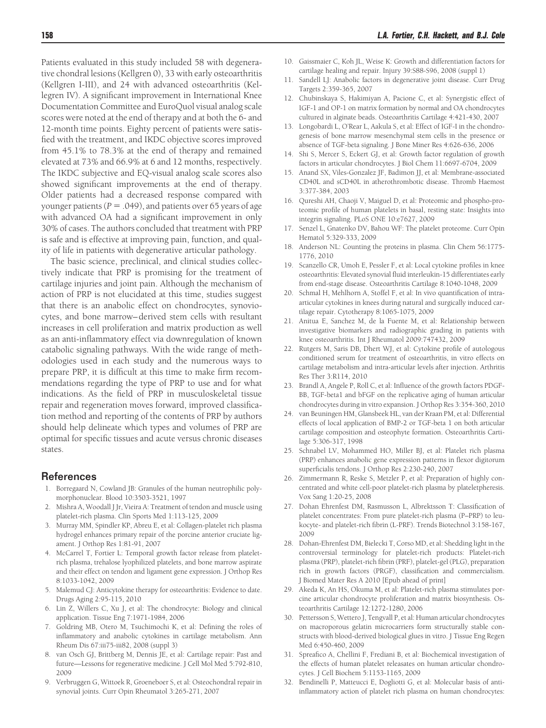Patients evaluated in this study included 58 with degenerative chondral lesions (Kellgren 0), 33 with early osteoarthritis (Kellgren I-III), and 24 with advanced osteoarthritis (Kellegren IV). A significant improvement in International Knee Documentation Committee and EuroQuol visual analog scale scores were noted at the end of therapy and at both the 6- and 12-month time points. Eighty percent of patients were satisfied with the treatment, and IKDC objective scores improved from 45.1% to 78.3% at the end of therapy and remained elevated at 73% and 66.9% at 6 and 12 months, respectively. The IKDC subjective and EQ-visual analog scale scores also showed significant improvements at the end of therapy. Older patients had a decreased response compared with younger patients ( $P = .049$ ), and patients over 65 years of age with advanced OA had a significant improvement in only 30% of cases. The authors concluded that treatment with PRP is safe and is effective at improving pain, function, and quality of life in patients with degenerative articular pathology.

The basic science, preclinical, and clinical studies collectively indicate that PRP is promising for the treatment of cartilage injuries and joint pain. Although the mechanism of action of PRP is not elucidated at this time, studies suggest that there is an anabolic effect on chondrocytes, synoviocytes, and bone marrow– derived stem cells with resultant increases in cell proliferation and matrix production as well as an anti-inflammatory effect via downregulation of known catabolic signaling pathways. With the wide range of methodologies used in each study and the numerous ways to prepare PRP, it is difficult at this time to make firm recommendations regarding the type of PRP to use and for what indications. As the field of PRP in musculoskeletal tissue repair and regeneration moves forward, improved classification method and reporting of the contents of PRP by authors should help delineate which types and volumes of PRP are optimal for specific tissues and acute versus chronic diseases states.

#### <span id="page-4-0"></span>**References**

- 1. Borregaard N, Cowland JB: Granules of the human neutrophilic polymorphonuclear. Blood 10:3503-3521, 1997
- 2. Mishra A, Woodall J Jr, Vieira A: Treatment of tendon and muscle using platelet-rich plasma. Clin Sports Med 1:113-125, 2009
- 3. Murray MM, Spindler KP, Abreu E, et al: Collagen-platelet rich plasma hydrogel enhances primary repair of the porcine anterior cruciate ligament. J Orthop Res 1:81-91, 2007
- 4. McCarrel T, Fortier L: Temporal growth factor release from plateletrich plasma, trehalose lyophilized platelets, and bone marrow aspirate and their effect on tendon and ligament gene expression. J Orthop Res 8:1033-1042, 2009
- <span id="page-4-1"></span>5. Malemud CJ: Anticytokine therapy for osteoarthritis: Evidence to date. Drugs Aging 2:95-115, 2010
- 6. Lin Z, Willers C, Xu J, et al: The chondrocyte: Biology and clinical application. Tissue Eng 7:1971-1984, 2006
- 7. Goldring MB, Otero M, Tsuchimochi K, et al: Defining the roles of inflammatory and anabolic cytokines in cartilage metabolism. Ann Rheum Dis 67:iii75-iii82, 2008 (suppl 3)
- 8. van Osch GJ, Brittberg M, Dennis JE, et al: Cartilage repair: Past and future—Lessons for regenerative medicine. J Cell Mol Med 5:792-810, 2009
- 9. Verbruggen G, Wittoek R, Groeneboer S, et al: Osteochondral repair in synovial joints. Curr Opin Rheumatol 3:265-271, 2007
- 10. Gaissmaier C, Koh JL, Weise K: Growth and differentiation factors for cartilage healing and repair. Injury 39:S88-S96, 2008 (suppl 1)
- 11. Sandell LJ: Anabolic factors in degenerative joint disease. Curr Drug Targets 2:359-365, 2007
- <span id="page-4-2"></span>12. Chubinskaya S, Hakimiyan A, Pacione C, et al: Synergistic effect of IGF-1 and OP-1 on matrix formation by normal and OA chondrocytes cultured in alginate beads. Osteoarthritis Cartilage 4:421-430, 2007
- 13. Longobardi L, O'Rear L, Aakula S, et al: Effect of IGF-I in the chondrogenesis of bone marrow mesenchymal stem cells in the presence or absence of TGF-beta signaling. J Bone Miner Res 4:626-636, 2006
- <span id="page-4-4"></span><span id="page-4-3"></span>14. Shi S, Mercer S, Eckert GJ, et al: Growth factor regulation of growth factors in articular chondrocytes. J Biol Chem 11:6697-6704, 2009
- 15. Anand SX, Viles-Gonzalez JF, Badimon JJ, et al: Membrane-associated CD40L and sCD40L in atherothrombotic disease. Thromb Haemost 3:377-384, 2003
- <span id="page-4-5"></span>16. Qureshi AH, Chaoji V, Maiguel D, et al: Proteomic and phospho-proteomic profile of human platelets in basal, resting state: Insights into integrin signaling. PLoS ONE 10:e7627, 2009
- <span id="page-4-6"></span>17. Senzel L, Gnatenko DV, Bahou WF: The platelet proteome. Curr Opin Hematol 5:329-333, 2009
- <span id="page-4-7"></span>18. Anderson NL: Counting the proteins in plasma. Clin Chem 56:1775- 1776, 2010
- 19. Scanzello CR, Umoh E, Pessler F, et al: Local cytokine profiles in knee osteoarthritis: Elevated synovial fluid interleukin-15 differentiates early from end-stage disease. Osteoarthritis Cartilage 8:1040-1048, 2009
- 20. Schmal H, Mehlhorn A, Stoffel F, et al: In vivo quantification of intraarticular cytokines in knees during natural and surgically induced cartilage repair. Cytotherapy 8:1065-1075, 2009
- 21. Anitua E, Sanchez M, de la Fuente M, et al: Relationship between investigative biomarkers and radiographic grading in patients with knee osteoarthritis. Int J Rheumatol 2009:747432, 2009
- <span id="page-4-8"></span>22. Rutgers M, Saris DB, Dhert WJ, et al: Cytokine profile of autologous conditioned serum for treatment of osteoarthritis, in vitro effects on cartilage metabolism and intra-articular levels after injection. Arthritis Res Ther 3:R114, 2010
- <span id="page-4-9"></span>23. Brandl A, Angele P, Roll C, et al: Influence of the growth factors PDGF-BB, TGF-beta1 and bFGF on the replicative aging of human articular chondrocytes during in vitro expansion. J Orthop Res 3:354-360, 2010
- 24. van Beuningen HM, Glansbeek HL, van der Kraan PM, et al: Differential effects of local application of BMP-2 or TGF-beta 1 on both articular cartilage composition and osteophyte formation. Osteoarthritis Cartilage 5:306-317, 1998
- <span id="page-4-10"></span>25. Schnabel LV, Mohammed HO, Miller BJ, et al: Platelet rich plasma (PRP) enhances anabolic gene expression patterns in flexor digitorum superficialis tendons. J Orthop Res 2:230-240, 2007
- <span id="page-4-11"></span>26. Zimmermann R, Reske S, Metzler P, et al: Preparation of highly concentrated and white cell-poor platelet-rich plasma by plateletpheresis. Vox Sang 1:20-25, 2008
- <span id="page-4-12"></span>27. Dohan Ehrenfest DM, Rasmusson L, Albrektsson T: Classification of platelet concentrates: From pure platelet-rich plasma (P–PRP) to leukocyte- and platelet-rich fibrin (L-PRF). Trends Biotechnol 3:158-167, 2009
- <span id="page-4-17"></span>28. Dohan-Ehrenfest DM, Bielecki T, Corso MD, et al: Shedding light in the controversial terminology for platelet-rich products: Platelet-rich plasma (PRP), platelet-rich fibrin (PRF), platelet-gel (PLG), preparation rich in growth factors (PRGF), classification and commercialism. J Biomed Mater Res A 2010 [Epub ahead of print]
- <span id="page-4-13"></span>29. Akeda K, An HS, Okuma M, et al: Platelet-rich plasma stimulates porcine articular chondrocyte proliferation and matrix biosynthesis. Osteoarthritis Cartilage 12:1272-1280, 2006
- <span id="page-4-14"></span>30. Pettersson S, Wettero J, Tengvall P, et al: Human articular chondrocytes on macroporous gelatin microcarriers form structurally stable constructs with blood-derived biological glues in vitro. J Tissue Eng Regen Med 6:450-460, 2009
- <span id="page-4-16"></span><span id="page-4-15"></span>31. Spreafico A, Chellini F, Frediani B, et al: Biochemical investigation of the effects of human platelet releasates on human articular chondrocytes. J Cell Biochem 5:1153-1165, 2009
- 32. Bendinelli P, Matteucci E, Dogliotti G, et al: Molecular basis of antiinflammatory action of platelet rich plasma on human chondrocytes: